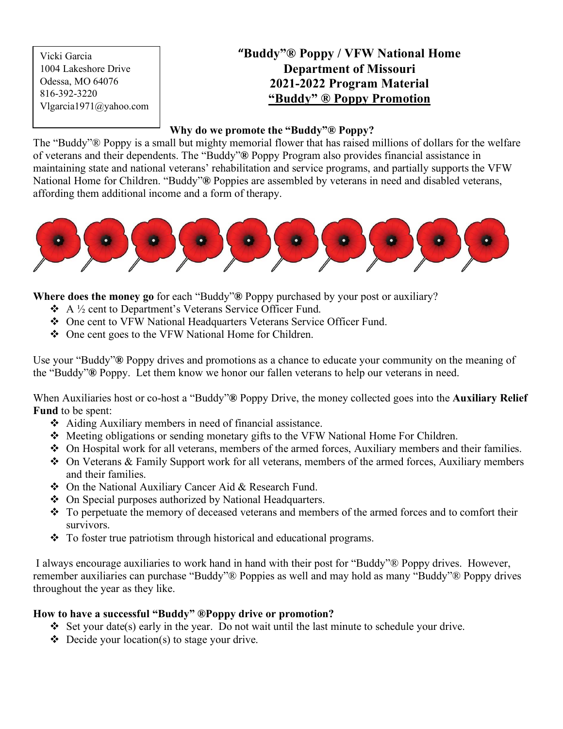Vicki Garcia 1004 Lakeshore Drive Odessa, MO 64076 816-392-3220 Vlgarcia1971@yahoo.com

# **"Buddy"® Poppy / VFW National Home Department of Missouri 2021-2022 Program Material "Buddy" ® Poppy Promotion**

#### **Why do we promote the "Buddy"® Poppy?**

The "Buddy"® Poppy is a small but mighty memorial flower that has raised millions of dollars for the welfare of veterans and their dependents. The "Buddy"**®** Poppy Program also provides financial assistance in maintaining state and national veterans' rehabilitation and service programs, and partially supports the VFW National Home for Children. "Buddy"**®** Poppies are assembled by veterans in need and disabled veterans, affording them additional income and a form of therapy.



**Where does the money go** for each "Buddy"**®** Poppy purchased by your post or auxiliary?

- $\triangle$  A  $\frac{1}{2}$  cent to Department's Veterans Service Officer Fund.
- One cent to VFW National Headquarters Veterans Service Officer Fund.
- One cent goes to the VFW National Home for Children.

Use your "Buddy"**®** Poppy drives and promotions as a chance to educate your community on the meaning of the "Buddy"**®** Poppy. Let them know we honor our fallen veterans to help our veterans in need.

When Auxiliaries host or co-host a "Buddy"**®** Poppy Drive, the money collected goes into the **Auxiliary Relief Fund** to be spent:

- Aiding Auxiliary members in need of financial assistance.
- Meeting obligations or sending monetary gifts to the VFW National Home For Children.
- On Hospital work for all veterans, members of the armed forces, Auxiliary members and their families.
- On Veterans & Family Support work for all veterans, members of the armed forces, Auxiliary members and their families.
- On the National Auxiliary Cancer Aid & Research Fund.
- On Special purposes authorized by National Headquarters.
- \* To perpetuate the memory of deceased veterans and members of the armed forces and to comfort their survivors.
- $\hat{\cdot}$  To foster true patriotism through historical and educational programs.

 I always encourage auxiliaries to work hand in hand with their post for "Buddy"® Poppy drives. However, remember auxiliaries can purchase "Buddy"® Poppies as well and may hold as many "Buddy"® Poppy drives throughout the year as they like.

## **How to have a successful "Buddy" ®Poppy drive or promotion?**

- Set your date(s) early in the year. Do not wait until the last minute to schedule your drive.
- $\triangleleft$  Decide your location(s) to stage your drive.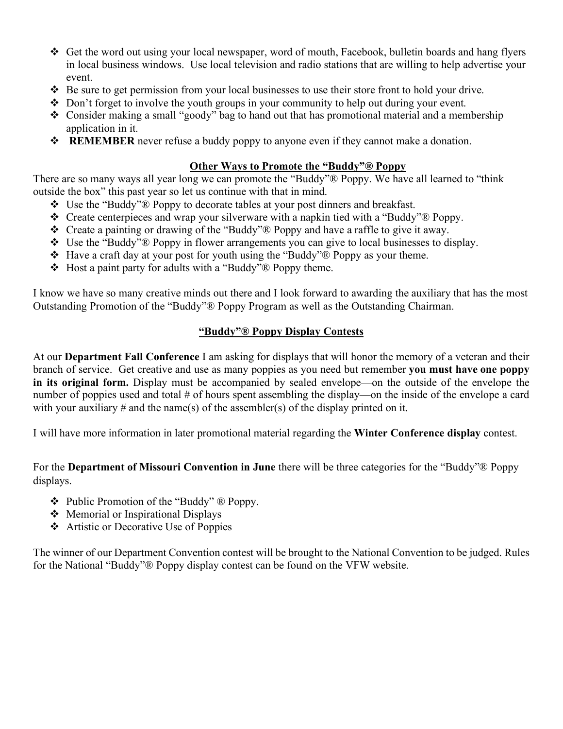- Get the word out using your local newspaper, word of mouth, Facebook, bulletin boards and hang flyers in local business windows. Use local television and radio stations that are willing to help advertise your event.
- $\triangle$  Be sure to get permission from your local businesses to use their store front to hold your drive.
- $\bullet$  Don't forget to involve the youth groups in your community to help out during your event.
- Consider making a small "goody" bag to hand out that has promotional material and a membership application in it.
- **REMEMBER** never refuse a buddy poppy to anyone even if they cannot make a donation.

#### **Other Ways to Promote the "Buddy"® Poppy**

There are so many ways all year long we can promote the "Buddy"® Poppy. We have all learned to "think outside the box" this past year so let us continue with that in mind.

- Use the "Buddy"® Poppy to decorate tables at your post dinners and breakfast.
- $\div$  Create centerpieces and wrap your silverware with a napkin tied with a "Buddy"<sup>®</sup> Poppy.
- Create a painting or drawing of the "Buddy"® Poppy and have a raffle to give it away.
- Use the "Buddy"® Poppy in flower arrangements you can give to local businesses to display.
- $\triangleleft$  Have a craft day at your post for youth using the "Buddy" $\triangleleft$  Poppy as your theme.
- $\triangleleft$  Host a paint party for adults with a "Buddy"<sup>®</sup> Poppy theme.

I know we have so many creative minds out there and I look forward to awarding the auxiliary that has the most Outstanding Promotion of the "Buddy"® Poppy Program as well as the Outstanding Chairman.

#### **"Buddy"® Poppy Display Contests**

At our **Department Fall Conference** I am asking for displays that will honor the memory of a veteran and their branch of service. Get creative and use as many poppies as you need but remember **you must have one poppy in its original form.** Display must be accompanied by sealed envelope—on the outside of the envelope the number of poppies used and total # of hours spent assembling the display—on the inside of the envelope a card with your auxiliary  $\#$  and the name(s) of the assembler(s) of the display printed on it.

I will have more information in later promotional material regarding the **Winter Conference display** contest.

For the **Department of Missouri Convention in June** there will be three categories for the "Buddy"® Poppy displays.

- $\triangle$  Public Promotion of the "Buddy"  $\triangle$  Poppy.
- $\triangleleft$  Memorial or Inspirational Displays
- Artistic or Decorative Use of Poppies

The winner of our Department Convention contest will be brought to the National Convention to be judged. Rules for the National "Buddy"® Poppy display contest can be found on the VFW website.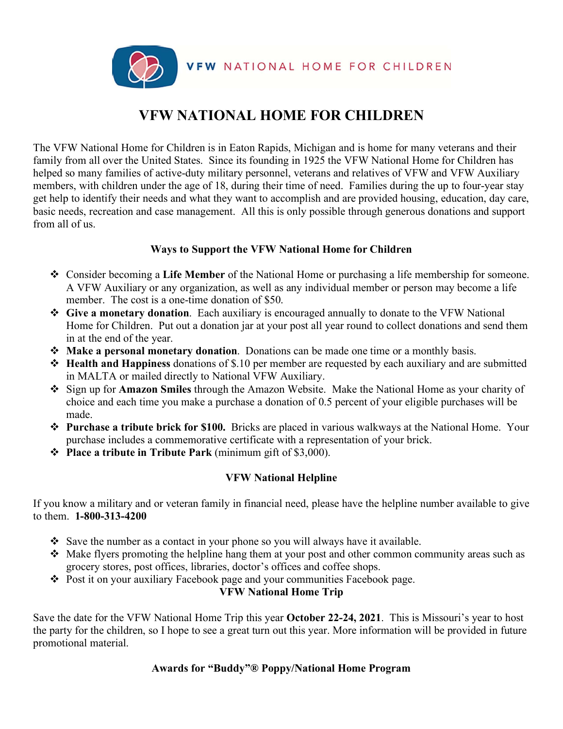

# **VFW NATIONAL HOME FOR CHILDREN**

The VFW National Home for Children is in Eaton Rapids, Michigan and is home for many veterans and their family from all over the United States. Since its founding in 1925 the VFW National Home for Children has helped so many families of active-duty military personnel, veterans and relatives of VFW and VFW Auxiliary members, with children under the age of 18, during their time of need. Families during the up to four-year stay get help to identify their needs and what they want to accomplish and are provided housing, education, day care, basic needs, recreation and case management. All this is only possible through generous donations and support from all of us.

#### **Ways to Support the VFW National Home for Children**

- Consider becoming a **Life Member** of the National Home or purchasing a life membership for someone. A VFW Auxiliary or any organization, as well as any individual member or person may become a life member. The cost is a one-time donation of \$50.
- **Give a monetary donation**. Each auxiliary is encouraged annually to donate to the VFW National Home for Children. Put out a donation jar at your post all year round to collect donations and send them in at the end of the year.
- **Make a personal monetary donation**. Donations can be made one time or a monthly basis.
- **Health and Happiness** donations of \$.10 per member are requested by each auxiliary and are submitted in MALTA or mailed directly to National VFW Auxiliary.
- Sign up for **Amazon Smiles** through the Amazon Website. Make the National Home as your charity of choice and each time you make a purchase a donation of 0.5 percent of your eligible purchases will be made.
- **Purchase a tribute brick for \$100.** Bricks are placed in various walkways at the National Home. Your purchase includes a commemorative certificate with a representation of your brick.
- **Place a tribute in Tribute Park** (minimum gift of \$3,000).

## **VFW National Helpline**

If you know a military and or veteran family in financial need, please have the helpline number available to give to them. **1-800-313-4200** 

- Save the number as a contact in your phone so you will always have it available.
- Make flyers promoting the helpline hang them at your post and other common community areas such as grocery stores, post offices, libraries, doctor's offices and coffee shops.
- \* Post it on your auxiliary Facebook page and your communities Facebook page.

#### **VFW National Home Trip**

Save the date for the VFW National Home Trip this year **October 22-24, 2021**. This is Missouri's year to host the party for the children, so I hope to see a great turn out this year. More information will be provided in future promotional material.

## **Awards for "Buddy"® Poppy/National Home Program**